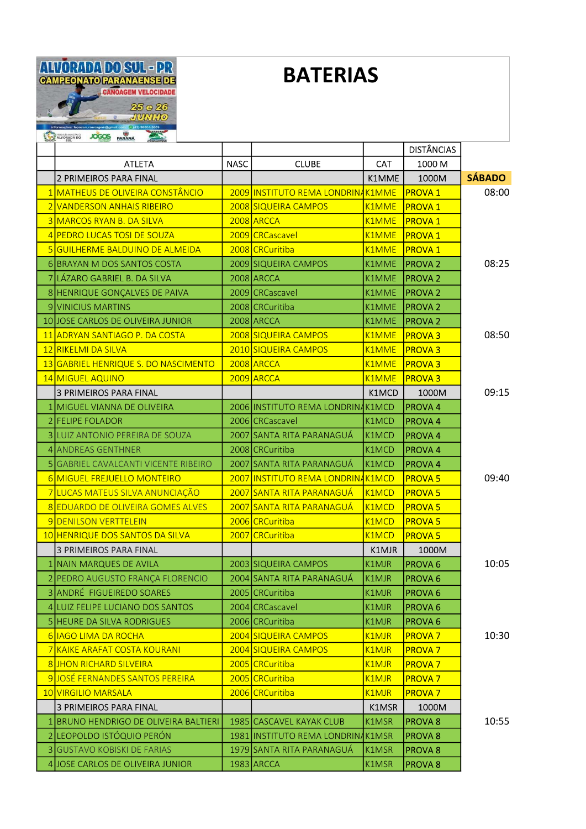

## **BATERIAS**

| <b>SUL</b>                            |             |                                   |              | <b>DISTÂNCIAS</b>  |               |
|---------------------------------------|-------------|-----------------------------------|--------------|--------------------|---------------|
| <b>ATLETA</b>                         | <b>NASC</b> | <b>CLUBE</b>                      | <b>CAT</b>   | 1000 M             |               |
| <b>2 PRIMEIROS PARA FINAL</b>         |             |                                   | K1MME        | 1000M              | <b>SÁBADO</b> |
| 1 MATHEUS DE OLIVEIRA CONSTÂNCIO      |             | 2009 INSTITUTO REMA LONDRINAK1MME |              | <b>PROVA 1</b>     | 08:00         |
| 2 VANDERSON ANHAIS RIBEIRO            |             | 2008 SIQUEIRA CAMPOS              | K1MME        | <b>PROVA 1</b>     |               |
| 3 MARCOS RYAN B. DA SILVA             |             | 2008 ARCCA                        | <b>K1MME</b> | <b>PROVA 1</b>     |               |
| 4 PEDRO LUCAS TOSI DE SOUZA           |             | 2009 CRCascavel                   | K1MME        | <b>PROVA1</b>      |               |
| 5 GUILHERME BALDUINO DE ALMEIDA       |             | 2008 CRCuritiba                   | <b>K1MME</b> | <b>PROVA 1</b>     |               |
| 6 BRAYAN M DOS SANTOS COSTA           |             | 2009 SIQUEIRA CAMPOS              | K1MME        | <b>PROVA2</b>      | 08:25         |
| 7 LÁZARO GABRIEL B. DA SILVA          |             | 2008 ARCCA                        | K1MME        | <b>PROVA 2</b>     |               |
| 8 HENRIQUE GONÇALVES DE PAIVA         |             | 2009 CRCascavel                   | K1MME        | <b>PROVA 2</b>     |               |
| 9 VINICIUS MARTINS                    |             | 2008 CRCuritiba                   | K1MME        | <b>PROVA2</b>      |               |
| 10 JOSE CARLOS DE OLIVEIRA JUNIOR     |             | 2008 ARCCA                        | K1MME        | <b>PROVA2</b>      |               |
| 11 ADRYAN SANTIAGO P. DA COSTA        |             | 2008 SIQUEIRA CAMPOS              | K1MME        | <b>PROVA3</b>      | 08:50         |
| 12 RIKELMI DA SILVA                   |             | 2010 SIQUEIRA CAMPOS              | K1MME        | <b>PROVA3</b>      |               |
| 13 GABRIEL HENRIQUE S. DO NASCIMENTO  |             | 2008 ARCCA                        | <b>K1MME</b> | <b>PROVA3</b>      |               |
| 14 MIGUEL AQUINO                      |             | 2009 ARCCA                        | <b>K1MME</b> | <b>PROVA3</b>      |               |
| 3 PRIMEIROS PARA FINAL                |             |                                   | K1MCD        | 1000M              | 09:15         |
| 1 MIGUEL VIANNA DE OLIVEIRA           |             | 2006 INSTITUTO REMA LONDRINAK1MCD |              | PROVA 4            |               |
| 2 FELIPE FOLADOR                      |             | 2006 CRCascavel                   | K1MCD        | PROVA 4            |               |
| 3 LUIZ ANTONIO PEREIRA DE SOUZA       |             | 2007 SANTA RITA PARANAGUÁ         | K1MCD        | PROVA 4            |               |
| 4 ANDREAS GENTHNER                    |             | 2008 CRCuritiba                   | K1MCD        | PROVA 4            |               |
| 5 GABRIEL CAVALCANTI VICENTE RIBEIRO  |             | 2007 SANTA RITA PARANAGUÁ         | K1MCD        | <b>PROVA4</b>      |               |
| 6 MIGUEL FREJUELLO MONTEIRO           |             | 2007 INSTITUTO REMA LONDRINAK1MCD |              | <b>PROVA 5</b>     | 09:40         |
| 7 LUCAS MATEUS SILVA ANUNCIAÇÃO       |             | 2007 SANTA RITA PARANAGUÁ         | K1MCD        | <b>PROVA 5</b>     |               |
| 8 EDUARDO DE OLIVEIRA GOMES ALVES     |             | 2007 SANTA RITA PARANAGUÁ         | <b>K1MCD</b> | <b>PROVA 5</b>     |               |
| 9 DENILSON VERTTELEIN                 |             | 2006 CRCuritiba                   | <b>K1MCD</b> | <b>PROVA 5</b>     |               |
| 10 HENRIQUE DOS SANTOS DA SILVA       |             | 2007 CRCuritiba                   | <b>K1MCD</b> | <b>PROVA 5</b>     |               |
| <b>3 PRIMEIROS PARA FINAL</b>         |             |                                   | K1MJR        | 1000M              |               |
| 1 NAIN MARQUES DE AVILA               |             | 2003 SIQUEIRA CAMPOS              | K1MJR        | PROVA <sub>6</sub> | 10:05         |
| 2 PEDRO AUGUSTO FRANÇA FLORENCIO      |             | 2004 SANTA RITA PARANAGUÁ         | K1MJR        | <b>PROVA 6</b>     |               |
| 3 ANDRÉ FIGUEIREDO SOARES             |             | 2005 CRCuritiba                   | K1MJR        | <b>PROVA 6</b>     |               |
| 4 LUIZ FELIPE LUCIANO DOS SANTOS      |             | 2004 CRCascavel                   | K1MJR        | PROVA <sub>6</sub> |               |
| 5 HEURE DA SILVA RODRIGUES            |             | 2006 CRCuritiba                   | K1MJR        | PROVA <sub>6</sub> |               |
| 6 IAGO LIMA DA ROCHA                  |             | 2004 SIQUEIRA CAMPOS              | <b>K1MJR</b> | <b>PROVA 7</b>     | 10:30         |
| 7 KAIKE ARAFAT COSTA KOURANI          |             | 2004 SIQUEIRA CAMPOS              | K1MJR        | <b>PROVA 7</b>     |               |
| 8 JHON RICHARD SILVEIRA               |             | 2005 CRCuritiba                   | K1MJR        | <b>PROVA 7</b>     |               |
| 9 JOSÉ FERNANDES SANTOS PEREIRA       |             | 2005 CRCuritiba                   | <b>K1MJR</b> | <b>PROVA 7</b>     |               |
| 10 VIRGILIO MARSALA                   |             | 2006 CRCuritiba                   | <b>K1MJR</b> | <b>PROVA 7</b>     |               |
| <b>3 PRIMEIROS PARA FINAL</b>         |             |                                   | K1MSR        | 1000M              |               |
| 1 BRUNO HENDRIGO DE OLIVEIRA BALTIERI |             | 1985 CASCAVEL KAYAK CLUB          | K1MSR        | <b>PROVA 8</b>     | 10:55         |
| 2 LEOPOLDO ISTÓQUIO PERÓN             |             | 1981 INSTITUTO REMA LONDRINAK1MSR |              | <b>PROVA 8</b>     |               |
| 3 GUSTAVO KOBISKI DE FARIAS           |             | 1979 SANTA RITA PARANAGUÁ         | K1MSR        | <b>PROVA 8</b>     |               |
| 4 JOSE CARLOS DE OLIVEIRA JUNIOR      |             | $1983$ ARCCA                      | K1MSR        | <b>PROVA 8</b>     |               |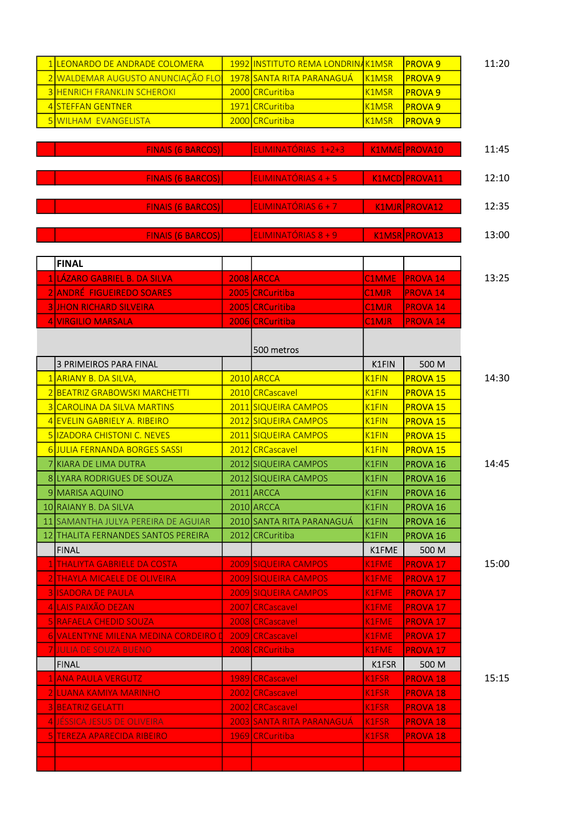| 1 LEONARDO DE ANDRADE COLOMERA       | 1992 INSTITUTO REMA LONDRINAK1MSR |                    | <b>PROVA 9</b>      |
|--------------------------------------|-----------------------------------|--------------------|---------------------|
| 2 WALDEMAR AUGUSTO ANUNCIAÇÃO FLO    | 1978 SANTA RITA PARANAGUÁ         | K1MSR              | <b>PROVA 9</b>      |
| <b>3 HENRICH FRANKLIN SCHEROKI</b>   | 2000 CRCuritiba                   | <b>K1MSR</b>       | <b>PROVA 9</b>      |
| 4 STEFFAN GENTNER                    | 1971 CRCuritiba                   | <b>K1MSR</b>       | <b>PROVA 9</b>      |
| 5 WILHAM EVANGELISTA                 | 2000 CRCuritiba                   | <b>K1MSR</b>       | <b>PROVA 9</b>      |
|                                      |                                   |                    |                     |
| <b>FINAIS (6 BARCOS)</b>             | ELIMINATÓRIAS 1+2+3               |                    | K1MME PROVA10       |
|                                      |                                   |                    |                     |
| <b>FINAIS (6 BARCOS)</b>             | ELIMINATÓRIAS 4 + 5               |                    | K1MCD PROVA11       |
|                                      |                                   |                    |                     |
| <b>FINAIS (6 BARCOS)</b>             | ELIMINATÓRIAS 6 + 7               |                    | K1MJR PROVA12       |
|                                      |                                   |                    |                     |
| <b>FINAIS (6 BARCOS)</b>             | ELIMINATÓRIAS 8 + 9               |                    | K1MSR PROVA13       |
|                                      |                                   |                    |                     |
| <b>FINAL</b>                         |                                   |                    |                     |
| 1 LÁZARO GABRIEL B. DA SILVA         | <b>2008 ARCCA</b>                 | <b>C1MME</b>       | <b>PROVA 14</b>     |
| <b>2 ANDRÉ FIGUEIREDO SOARES</b>     | 2005 CRCuritiba                   | C1MJR              | <b>PROVA 14</b>     |
| <b>3 JHON RICHARD SILVEIRA</b>       | 2005 CRCuritiba                   | <b>C1MJR</b>       | <b>PROVA 14</b>     |
| <b>4 VIRGILIO MARSALA</b>            | 2006 CRCuritiba                   | C1MJR              | <b>PROVA 14</b>     |
|                                      |                                   |                    |                     |
|                                      | 500 metros                        |                    |                     |
| <b>3 PRIMEIROS PARA FINAL</b>        |                                   | K1FIN              | 500 M               |
| 1 ARIANY B. DA SILVA,                | 2010 ARCCA                        | K <sub>1</sub> FIN | <b>PROVA 15</b>     |
| 2 BEATRIZ GRABOWSKI MARCHETTI        | 2010 CRCascavel                   | K <sub>1</sub> FIN | <b>PROVA 15</b>     |
| 3 CAROLINA DA SILVA MARTINS          | 2011 SIQUEIRA CAMPOS              | <b>K1FIN</b>       | <b>PROVA 15</b>     |
| 4 EVELIN GABRIELY A. RIBEIRO         | 2012 SIQUEIRA CAMPOS              | <b>K1FIN</b>       | <b>PROVA 15</b>     |
| 5 IZADORA CHISTONI C. NEVES          | 2011 SIQUEIRA CAMPOS              | <b>K1FIN</b>       | <b>PROVA 15</b>     |
| 6JULIA FERNANDA BORGES SASSI         | 2012 CRCascavel                   | K1FIN              | <b>PROVA 15</b>     |
| 7 KIARA DE LIMA DUTRA                | 2012 SIQUEIRA CAMPOS              | K1FIN              | PROVA <sub>16</sub> |
| 8 LYARA RODRIGUES DE SOUZA           | 2012 SIQUEIRA CAMPOS              | <b>K1FIN</b>       | PROVA <sub>16</sub> |
| 9 MARISA AQUINO                      | $2011$ ARCCA                      | K1FIN              | PROVA <sub>16</sub> |
| 10 RAIANY B. DA SILVA                | 2010 ARCCA                        | <b>K1FIN</b>       | <b>PROVA 16</b>     |
| 11 SAMANTHA JULYA PEREIRA DE AGUIAR  | 2010 SANTA RITA PARANAGUÁ         | K1FIN              | PROVA <sub>16</sub> |
| 12 THALITA FERNANDES SANTOS PEREIRA  | 2012 CRCuritiba                   | K1FIN              | PROVA <sub>16</sub> |
| <b>FINAL</b>                         |                                   | K1FME              | 500 M               |
| 1 THALIYTA GABRIELE DA COSTA         | 2009 SIQUEIRA CAMPOS              | K1FME              | PROVA <sub>17</sub> |
| 2 THAYLA MICAELE DE OLIVEIRA         | 2009 SIQUEIRA CAMPOS              | K1FME              | <b>PROVA 17</b>     |
| <b>3 ISADORA DE PAULA</b>            | 2009 SIQUEIRA CAMPOS              | K1FME              | <b>PROVA 17</b>     |
| 4 LAIS PAIXÃO DEZAN                  | 2007 CRCascavel                   | K1FME              | <b>PROVA 17</b>     |
| 5 RAFAELA CHEDID SOUZA               | 2008 CRCascavel                   | K1FME              | <b>PROVA 17</b>     |
| 6 VALENTYNE MILENA MEDINA CORDEIRO D | 2009 CRCascavel                   | K1FME              | <b>PROVA 17</b>     |
| <b>7 JULIA DE SOUZA BUENO</b>        | 2008 CRCuritiba                   | K1FME              | PROVA <sub>17</sub> |
| <b>FINAL</b>                         |                                   | K1FSR              | 500 M               |
| 1 ANA PAULA VERGUTZ                  | 1989 CRCascavel                   | K1FSR              | <b>PROVA 18</b>     |
| 2 ILUANA KAMIYA MARINHO              | 2002 CRCascavel                   | K1FSR              | <b>PROVA 18</b>     |
| 3 BEATRIZ GELATTI                    | 2002 CRCascavel                   | K1FSR              | <b>PROVA 18</b>     |
| 4 JESSICA JESUS DE OLIVEIRA          | 2003 SANTA RITA PARANAGUA         | K1FSR              | <b>PROVA 18</b>     |
| 5 TEREZA APARECIDA RIBEIRO           | 1969 CRCuritiba                   | K1FSR              | <b>PROVA 18</b>     |
|                                      |                                   |                    |                     |
|                                      |                                   |                    |                     |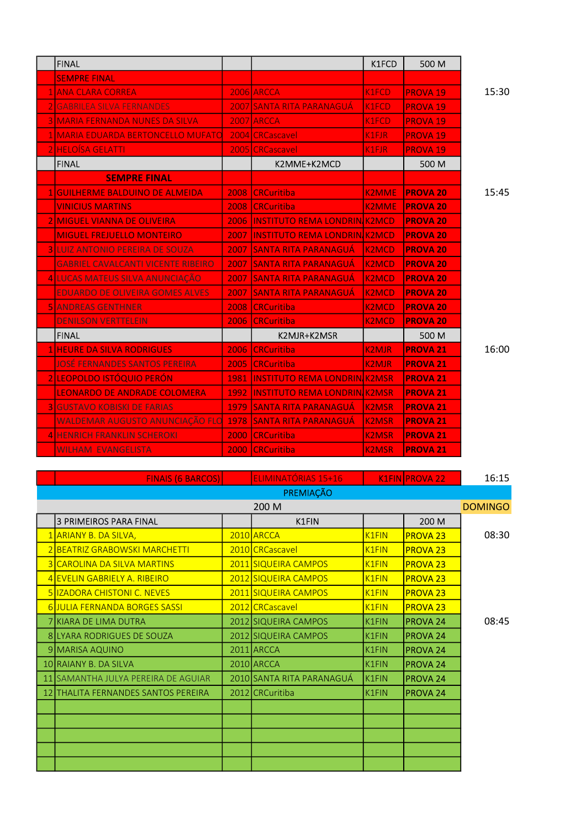| <b>FINAL</b>                                              |        |                                           | K1FCD        | 500 M           |       |
|-----------------------------------------------------------|--------|-------------------------------------------|--------------|-----------------|-------|
| <b>SEMPRE FINAL</b>                                       |        |                                           |              |                 |       |
| 1 ANA CLARA CORREA                                        |        | 2006 ARCCA                                | K1FCD        | <b>PROVA 19</b> | 15:30 |
| 2 GABRILEA SILVA FERNANDES                                |        | 2007 SANTA RITA PARANAGUÁ                 | <b>K1FCD</b> | <b>PROVA 19</b> |       |
| 3 MARIA FERNANDA NUNES DA SILVA                           |        | 2007 ARCCA                                | K1FCD        | <b>PROVA 19</b> |       |
| 1 MARIA EDUARDA BERTONCELLO MUFATO                        |        | 2004 CRCascavel                           | K1FJR        | <b>PROVA 19</b> |       |
| <b>2 HELOÍSA GELATTI</b>                                  |        | 2005 CRCascavel                           | K1FJR        | <b>PROVA 19</b> |       |
| <b>FINAL</b>                                              |        | K2MME+K2MCD                               |              | 500 M           |       |
| <b>SEMPRE FINAL</b>                                       |        |                                           |              |                 |       |
| 1 GUILHERME BALDUINO DE ALMEIDA                           | 2008 l | <b>CRCuritiba</b>                         | <b>K2MME</b> | <b>PROVA 20</b> | 15:45 |
| <b>VINICIUS MARTINS</b>                                   | 2008 l | <b>CRCuritiba</b>                         | <b>K2MME</b> | <b>PROVA 20</b> |       |
| <b>2 IMIGUEL VIANNA DE OLIVEIRA</b>                       |        | <b>2006 INSTITUTO REMA LONDRINIK2MCD</b>  |              | <b>PROVA 20</b> |       |
| <b>MIGUEL FREJUELLO MONTEIRO</b>                          |        | <b>2007 IINSTITUTO REMA LONDRINIK2MCD</b> |              | <b>PROVA 20</b> |       |
| <b>3 LUIZ ANTONIO PEREIRA DE SOUZA</b>                    | 2007   | <b>SANTA RITA PARANAGUA</b>               | <b>K2MCD</b> | <b>PROVA 20</b> |       |
| <b>GABRIEL CAVALCANTI VICENTE RIBEIRO</b>                 |        | <b>2007 ISANTA RITA PARANAGUA</b>         | <b>K2MCD</b> | <b>PROVA 20</b> |       |
| 4 LUCAS MATEUS SILVA ANUNCIAÇÃO                           |        | <b>2007 SANTA RITA PARANAGUA</b>          | <b>K2MCD</b> | <b>PROVA 20</b> |       |
| <b>EDUARDO DE OLIVEIRA GOMES ALVES</b>                    | 2007   | <b>ISANTA RITA PARANAGUA</b>              | <b>K2MCD</b> | <b>PROVA 20</b> |       |
| <b>5 JANDREAS GENTHNER</b>                                |        | 2008 CRCuritiba                           | <b>K2MCD</b> | <b>PROVA 20</b> |       |
| <b>DENILSON VERTTELEIN</b>                                | 2006   | <b>CRCuritiba</b>                         | <b>K2MCD</b> | <b>PROVA 20</b> |       |
| <b>FINAL</b>                                              |        | K2MJR+K2MSR                               |              | 500 M           |       |
| <b>1 HEURE DA SILVA RODRIGUES</b>                         | 2006 l | <b>CRCuritiba</b>                         | <b>K2MJR</b> | <b>PROVA 21</b> | 16:00 |
| JOSĖ FERNANDES SANTOS PEREIRA                             | 2005 l | <b>CRCuritiba</b>                         | <b>K2MJR</b> | <b>PROVA 21</b> |       |
| 2 LEOPOLDO ISTÓQUIO PERÓN                                 |        | 1981 INSTITUTO REMA LONDRINIK2MSR         |              | <b>PROVA 21</b> |       |
| <b>LEONARDO DE ANDRADE COLOMERA</b>                       |        | 1992 INSTITUTO REMA LONDRIN K2MSR         |              | <b>PROVA 21</b> |       |
| <b>3 GUSTAVO KOBISKI DE FARIAS</b>                        |        | 1979 SANTA RITA PARANAGUA                 | <b>K2MSR</b> | <b>PROVA 21</b> |       |
| WALDEMAR AUGUSTO ANUNCIAÇÃO FLO 1978 SANTA RITA PARANAGUÁ |        |                                           | <b>K2MSR</b> | <b>PROVA 21</b> |       |
| <b>4 HENRICH FRANKLIN SCHEROKI</b>                        |        | 2000 CRCuritiba                           | <b>K2MSR</b> | <b>PROVA 21</b> |       |
| <b>WILHAM EVANGELISTA</b>                                 | 2000 l | <b>CRCuritiba</b>                         | <b>K2MSR</b> | <b>PROVA 21</b> |       |

|                         | <b>FINAIS (6 BARCOS)</b>            |  | ELIMINATÓRIAS 15+16       |                    | K1FIN PROVA 22      | 16:15 |  |  |
|-------------------------|-------------------------------------|--|---------------------------|--------------------|---------------------|-------|--|--|
| PREMIAÇÃO               |                                     |  |                           |                    |                     |       |  |  |
| 200 M<br><b>DOMINGO</b> |                                     |  |                           |                    |                     |       |  |  |
|                         | <b>3 PRIMEIROS PARA FINAL</b>       |  | K1FIN                     |                    | 200 M               |       |  |  |
|                         | 1 ARIANY B. DA SILVA,               |  | 2010 ARCCA                | <b>K1FIN</b>       | <b>PROVA 23</b>     | 08:30 |  |  |
|                         | 2 BEATRIZ GRABOWSKI MARCHETTI       |  | 2010 CRCascavel           | K <sub>1</sub> FIN | <b>PROVA 23</b>     |       |  |  |
|                         | <b>3 CAROLINA DA SILVA MARTINS</b>  |  | 2011 SIQUEIRA CAMPOS      | <b>K1FIN</b>       | <b>PROVA 23</b>     |       |  |  |
|                         | 4 EVELIN GABRIELY A. RIBEIRO        |  | 2012 SIQUEIRA CAMPOS      | K <sub>1</sub> FIN | <b>PROVA 23</b>     |       |  |  |
|                         | <b>5 IZADORA CHISTONI C. NEVES</b>  |  | 2011 SIQUEIRA CAMPOS      | K <sub>1</sub> FIN | <b>PROVA 23</b>     |       |  |  |
|                         | 6 JULIA FERNANDA BORGES SASSI       |  | 2012 CRCascavel           | <b>K1FIN</b>       | <b>PROVA 23</b>     |       |  |  |
|                         | <b>7 KIARA DE LIMA DUTRA</b>        |  | 2012 SIQUEIRA CAMPOS      | K1FIN              | <b>PROVA 24</b>     | 08:45 |  |  |
|                         | 8 LYARA RODRIGUES DE SOUZA          |  | 2012 SIQUEIRA CAMPOS      | <b>K1FIN</b>       | PROVA <sub>24</sub> |       |  |  |
|                         | 9 MARISA AQUINO                     |  | 2011 ARCCA                | K1FIN              | PROVA <sub>24</sub> |       |  |  |
|                         | 10 RAIANY B. DA SILVA               |  | 2010 ARCCA                | K1FIN              | PROVA <sub>24</sub> |       |  |  |
|                         | 11 SAMANTHA JULYA PEREIRA DE AGUIAR |  | 2010 SANTA RITA PARANAGUÁ | K1FIN              | PROVA <sub>24</sub> |       |  |  |
|                         | 12 THALITA FERNANDES SANTOS PEREIRA |  | 2012 CRCuritiba           | K1FIN              | PROVA <sub>24</sub> |       |  |  |
|                         |                                     |  |                           |                    |                     |       |  |  |
|                         |                                     |  |                           |                    |                     |       |  |  |
|                         |                                     |  |                           |                    |                     |       |  |  |
|                         |                                     |  |                           |                    |                     |       |  |  |
|                         |                                     |  |                           |                    |                     |       |  |  |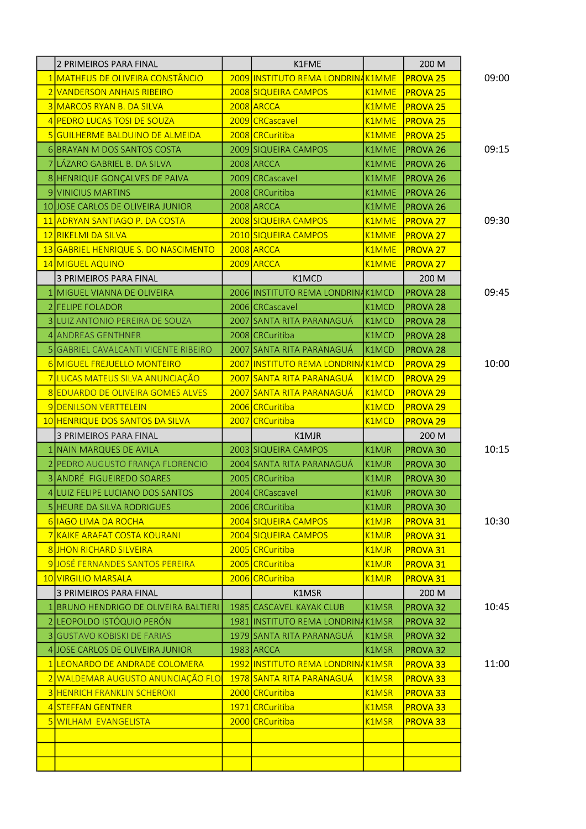| 2 PRIMEIROS PARA FINAL                                                 | K1FME                                                          |                                | 200 M                                  |                |
|------------------------------------------------------------------------|----------------------------------------------------------------|--------------------------------|----------------------------------------|----------------|
| 1 MATHEUS DE OLIVEIRA CONSTÂNCIO                                       | 2009 INSTITUTO REMA LONDRINAK1MME                              |                                | <b>PROVA 25</b>                        | 09:00          |
| 2 VANDERSON ANHAIS RIBEIRO                                             | 2008 SIQUEIRA CAMPOS                                           | K1MME                          | <b>PROVA 25</b>                        |                |
| 3 MARCOS RYAN B. DA SILVA                                              | 2008 ARCCA                                                     | K1MME                          | <b>PROVA 25</b>                        |                |
| 4 PEDRO LUCAS TOSI DE SOUZA                                            | 2009 CRCascavel                                                | K1MME                          | <b>PROVA 25</b>                        |                |
| 5 GUILHERME BALDUINO DE ALMEIDA                                        | 2008 CRCuritiba                                                | K1MME                          | <b>PROVA 25</b>                        |                |
| 6 BRAYAN M DOS SANTOS COSTA                                            | 2009 SIQUEIRA CAMPOS                                           | K1MME                          | <b>PROVA 26</b>                        | 09:15          |
| 7 LÁZARO GABRIEL B. DA SILVA                                           | 2008 ARCCA                                                     | K1MME                          | <b>PROVA 26</b>                        |                |
| 8 HENRIQUE GONÇALVES DE PAIVA                                          | 2009 CRCascavel                                                | K1MME                          | <b>PROVA 26</b>                        |                |
| 9 VINICIUS MARTINS                                                     | 2008 CRCuritiba                                                | K1MME                          | <b>PROVA 26</b>                        |                |
| 10 JOSE CARLOS DE OLIVEIRA JUNIOR                                      | 2008 ARCCA                                                     | K1MME                          | <b>PROVA 26</b>                        |                |
| 11 ADRYAN SANTIAGO P. DA COSTA                                         | 2008 SIQUEIRA CAMPOS                                           | <b>K1MME</b>                   | <b>PROVA 27</b>                        | 09:30          |
| 12 RIKELMI DA SILVA                                                    | 2010 SIQUEIRA CAMPOS                                           | K1MME                          | <b>PROVA 27</b>                        |                |
| 13 GABRIEL HENRIQUE S. DO NASCIMENTO                                   | 2008 ARCCA                                                     | K1MME                          | <b>PROVA 27</b>                        |                |
| 14 MIGUEL AQUINO                                                       | 2009 ARCCA                                                     | <b>K1MME</b>                   | <b>PROVA 27</b>                        |                |
| 3 PRIMEIROS PARA FINAL                                                 | K1MCD                                                          |                                | 200 M                                  |                |
| 1 MIGUEL VIANNA DE OLIVEIRA                                            | 2006 INSTITUTO REMA LONDRINAK1MCD                              |                                | PROVA <sub>28</sub>                    | 09:45          |
| 2 FELIPE FOLADOR                                                       | 2006 CRCascavel                                                | K1MCD                          | PROVA <sub>28</sub>                    |                |
| 3 LUIZ ANTONIO PEREIRA DE SOUZA                                        | 2007 SANTA RITA PARANAGUÁ                                      | K1MCD                          | <b>PROVA 28</b>                        |                |
| 4 ANDREAS GENTHNER                                                     | 2008 CRCuritiba                                                | K1MCD                          | <b>PROVA 28</b>                        |                |
| 5 GABRIEL CAVALCANTI VICENTE RIBEIRO                                   | 2007 SANTA RITA PARANAGUÁ                                      | K1MCD                          | <b>PROVA 28</b>                        |                |
| 6 MIGUEL FREJUELLO MONTEIRO                                            | 2007 INSTITUTO REMA LONDRINAK1MCD                              |                                | <b>PROVA 29</b>                        | 10:00          |
| 7 LUCAS MATEUS SILVA ANUNCIAÇÃO                                        | 2007 SANTA RITA PARANAGUÁ                                      | K <sub>1</sub> MCD             | <b>PROVA 29</b>                        |                |
| 8 EDUARDO DE OLIVEIRA GOMES ALVES                                      | 2007 SANTA RITA PARANAGUÁ                                      | <b>K1MCD</b>                   | <b>PROVA 29</b>                        |                |
| 9 DENILSON VERTTELEIN                                                  | 2006 CRCuritiba                                                | K1MCD                          | <b>PROVA 29</b>                        |                |
|                                                                        |                                                                |                                |                                        |                |
| 10 HENRIQUE DOS SANTOS DA SILVA                                        | 2007 CRCuritiba                                                | K1MCD                          | <b>PROVA 29</b>                        |                |
| <b>3 PRIMEIROS PARA FINAL</b>                                          | K1MJR                                                          |                                | 200 M                                  |                |
| 1 NAIN MARQUES DE AVILA                                                | 2003 SIQUEIRA CAMPOS                                           | K1MJR                          | PROVA 30                               | 10:15          |
| 2 PEDRO AUGUSTO FRANÇA FLORENCIO                                       | 2004 SANTA RITA PARANAGUÁ                                      | K1MJR                          | PROVA 30                               |                |
| 3 ANDRÉ FIGUEIREDO SOARES                                              | 2005 CRCuritiba                                                | K1MJR                          | <b>PROVA 30</b>                        |                |
| 4 LUIZ FELIPE LUCIANO DOS SANTOS                                       | 2004 CRCascavel                                                | K1MJR                          | <b>PROVA 30</b>                        |                |
| <b>5 HEURE DA SILVA RODRIGUES</b>                                      | 2006 CRCuritiba                                                | K1MJR                          | <b>PROVA 30</b>                        |                |
| 6 IAGO LIMA DA ROCHA                                                   | 2004 SIQUEIRA CAMPOS                                           | K <sub>1</sub> MJR             | <b>PROVA 31</b>                        |                |
| <u>7 KAIKE ARAFAT COSTA KOURANI</u>                                    | 2004 SIQUEIRA CAMPOS                                           | K <sub>1</sub> MJR             | <b>PROVA 31</b>                        |                |
| 8 JHON RICHARD SILVEIRA                                                | 2005 CRCuritiba                                                | K <sub>1</sub> MJR             | <b>PROVA 31</b>                        |                |
| 9 JOSÉ FERNANDES SANTOS PEREIRA                                        | 2005 CRCuritiba                                                | <b>K1MJR</b>                   | <b>PROVA 31</b>                        |                |
| 10 VIRGILIO MARSALA                                                    | 2006 CRCuritiba                                                | K <sub>1</sub> MJR             | <b>PROVA 31</b>                        |                |
| 3 PRIMEIROS PARA FINAL                                                 | K1MSR                                                          |                                | 200 M                                  |                |
| 1 BRUNO HENDRIGO DE OLIVEIRA BALTIERI                                  | 1985 CASCAVEL KAYAK CLUB                                       | K1MSR                          | <b>PROVA 32</b>                        | 10:45          |
| 2 LEOPOLDO ISTÓQUIO PERÓN                                              | 1981 INSTITUTO REMA LONDRINAK1MSR<br>1979 SANTA RITA PARANAGUA |                                | <b>PROVA 32</b>                        |                |
| <b>3 GUSTAVO KOBISKI DE FARIAS</b><br>4 JOSE CARLOS DE OLIVEIRA JUNIOR | 1983 ARCCA                                                     | K1MSR<br>K1MSR                 | <b>PROVA 32</b><br>PROVA <sub>32</sub> |                |
| 1 LEONARDO DE ANDRADE COLOMERA                                         | 1992 INSTITUTO REMA LONDRINAK1MSR                              |                                | <b>PROVA 33</b>                        |                |
| 2 WALDEMAR AUGUSTO ANUNCIAÇÃO FLO                                      | 1978 SANTA RITA PARANAGUÁ                                      | K <sub>1</sub> M <sub>SR</sub> | <b>PROVA 33</b>                        |                |
| <b>3 HENRICH FRANKLIN SCHEROKI</b>                                     | 2000 CRCuritiba                                                | K <sub>1</sub> M <sub>SR</sub> | <b>PROVA 33</b>                        |                |
| 4 STEFFAN GENTNER                                                      | 1971 CRCuritiba                                                | K1MSR                          | <b>PROVA 33</b>                        |                |
| 5 WILHAM EVANGELISTA                                                   | 2000 CRCuritiba                                                | K1MSR                          | <b>PROVA 33</b>                        |                |
|                                                                        |                                                                |                                |                                        |                |
|                                                                        |                                                                |                                |                                        | 10:30<br>11:00 |